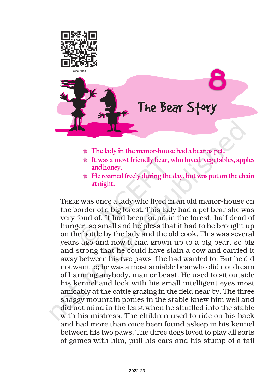



- $\star$  The lady in the manor-house had a bear as pet.
- $\star$  It was a most friendly bear, who loved vegetables, apples and honey.
- $\star$  He roamed freely during the day, but was put on the chain at night.

THERE was once a lady who lived in an old manor-house on the border of a big forest. This lady had a pet bear she was very fond of. It had been found in the forest, half dead of hunger, so small and helpless that it had to be brought up on the bottle by the lady and the old cook. This was several years ago and now it had grown up to a big bear, so big and strong that he could have slain a cow and carried it away between his two paws if he had wanted to. But he did not want to; he was a most amiable bear who did not dream of harming anybody, man or beast. He used to sit outside his kennel and look with his small intelligent eyes most amicably at the cattle grazing in the field near by. The three shaggy mountain ponies in the stable knew him well and did not mind in the least when he shuffled into the stable with his mistress. The children used to ride on his back and had more than once been found asleep in his kennel between his two paws. The three dogs loved to play all sorts of games with him, pull his ears and his stump of a tail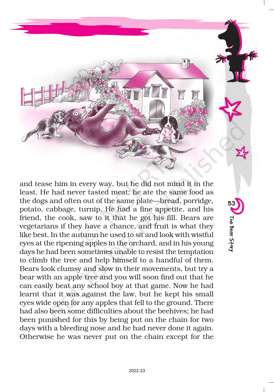

53

The Bear Story

The Bear Story

and tease him in every way, but he did not mind it in the least. He had never tasted meat; he ate the same food as the dogs and often out of the same plate—bread, porridge, potato, cabbage, turnip. He had a fine appetite, and his friend, the cook, saw to it that he got his fill. Bears are vegetarians if they have a chance, and fruit is what they like best. In the autumn he used to sit and look with wistful eyes at the ripening apples in the orchard, and in his young days he had been sometimes unable to resist the temptation to climb the tree and help himself to a handful of them. Bears look clumsy and slow in their movements, but try a bear with an apple tree and you will soon find out that he can easily beat any school boy at that game. Now he had learnt that it was against the law, but he kept his small eyes wide open for any apples that fell to the ground. There had also been some difficulties about the beehives; he had been punished for this by being put on the chain for two days with a bleeding nose and he had never done it again. Otherwise he was never put on the chain except for the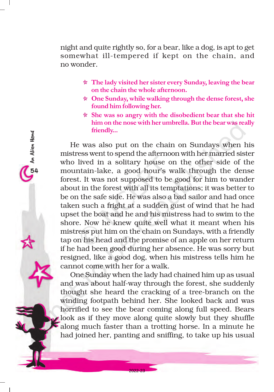night and quite rightly so, for a bear, like a dog, is apt to get somewhat ill-tempered if kept on the chain, and no wonder.

- $\star$  The lady visited her sister every Sunday, leaving the bear on the chain the whole afternoon.
- $\star$  One Sunday, while walking through the dense forest, she found him following her.
- $\star$  She was so angry with the disobedient bear that she hit him on the nose with her umbrella. But the bear was really friendly...

He was also put on the chain on Sundays when his mistress went to spend the afternoon with her married sister who lived in a solitary house on the other side of the mountain-lake, a good hour's walk through the dense forest. It was not supposed to be good for him to wander about in the forest with all its temptations; it was better to be on the safe side. He was also a bad sailor and had once taken such a fright at a sudden gust of wind that he had upset the boat and he and his mistress had to swim to the shore. Now he knew quite well what it meant when his mistress put him on the chain on Sundays, with a friendly tap on his head and the promise of an apple on her return if he had been good during her absence. He was sorry but resigned, like a good dog, when his mistress tells him he cannot come with her for a walk.

54An Alien Hand

UI An Alien Hand

One Sunday when the lady had chained him up as usual and was about half-way through the forest, she suddenly thought she heard the cracking of a tree-branch on the winding footpath behind her. She looked back and was horrified to see the bear coming along full speed. Bears look as if they move along quite slowly but they shuffle along much faster than a trotting horse. In a minute he had joined her, panting and sniffing, to take up his usual

2022-23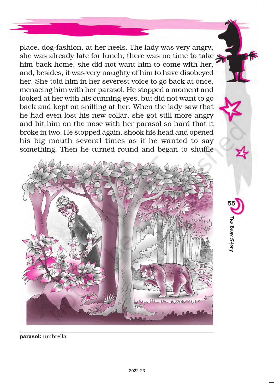place, dog-fashion, at her heels. The lady was very angry, she was already late for lunch, there was no time to take him back home, she did not want him to come with her, and, besides, it was very naughty of him to have disobeyed her. She told him in her severest voice to go back at once, menacing him with her parasol. He stopped a moment and looked at her with his cunning eyes, but did not want to go back and kept on sniffing at her. When the lady saw that he had even lost his new collar, she got still more angry and hit him on the nose with her parasol so hard that it broke in two. He stopped again, shook his head and opened his big mouth several times as if he wanted to say something. Then he turned round and began to shuffle



55

The Bear Story

The Bear Story

parasol: umbrella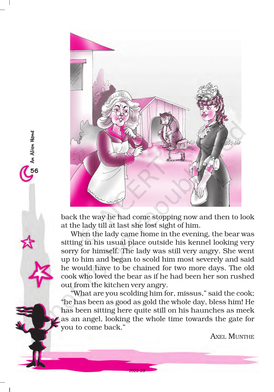

56An Alien Hand

**C<sub>50</sub>** An Alien Hand

back the way he had come stopping now and then to look at the lady till at last she lost sight of him.

When the lady came home in the evening, the bear was sitting in his usual place outside his kennel looking very sorry for himself. The lady was still very angry. She went up to him and began to scold him most severely and said he would have to be chained for two more days. The old cook who loved the bear as if he had been her son rushed out from the kitchen very angry.

"What are you scolding him for, missus," said the cook; "he has been as good as gold the whole day, bless him! He has been sitting here quite still on his haunches as meek as an angel, looking the whole time towards the gate for you to come back."

2022-23

AXEL MUNTHE